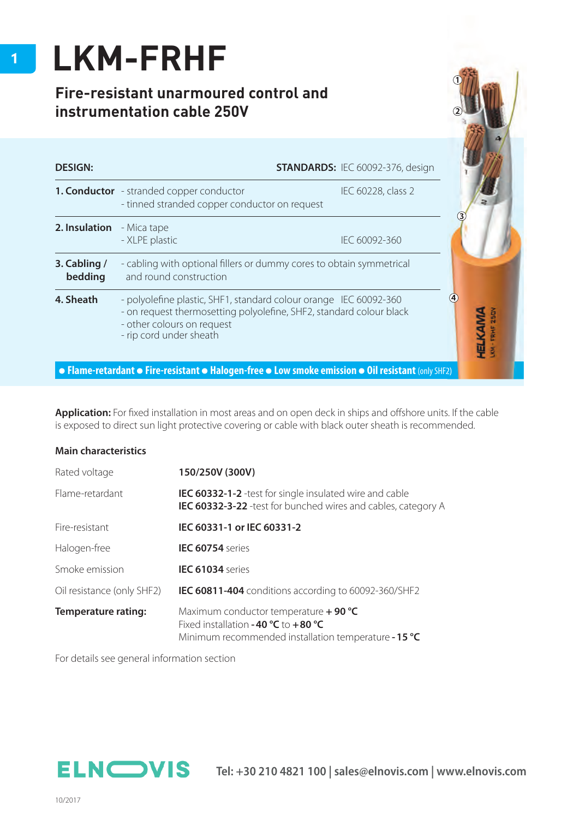## **LKM-FRHF**

## **Fire-resistant unarmoured control and instrumentation cable 250V**

| <b>DESIGN:</b>          |                                                                                                                                                                                                   | <b>STANDARDS: IEC 60092-376, design</b> |                          |  |  |  |
|-------------------------|---------------------------------------------------------------------------------------------------------------------------------------------------------------------------------------------------|-----------------------------------------|--------------------------|--|--|--|
|                         | <b>1. Conductor</b> - stranded copper conductor<br>- tinned stranded copper conductor on request                                                                                                  | IEC 60228, class 2                      |                          |  |  |  |
| 2. Insulation           | - Mica tape<br>- XLPE plastic                                                                                                                                                                     | IEC 60092-360                           |                          |  |  |  |
| 3. Cabling /<br>bedding | - cabling with optional fillers or dummy cores to obtain symmetrical<br>and round construction                                                                                                    |                                         |                          |  |  |  |
| 4. Sheath               | - polyolefine plastic, SHF1, standard colour orange IEC 60092-360<br>- on request thermosetting polyolefine, SHF2, standard colour black<br>- other colours on request<br>- rip cord under sheath |                                         | $\left( 4\right)$<br>fik |  |  |  |

Application: For fixed installation in most areas and on open deck in ships and offshore units. If the cable is exposed to direct sun light protective covering or cable with black outer sheath is recommended.

## **Main characteristics**

| Rated voltage              | 150/250V (300V)                                                                                                                          |  |  |  |  |
|----------------------------|------------------------------------------------------------------------------------------------------------------------------------------|--|--|--|--|
| Flame-retardant            | <b>IEC 60332-1-2</b> -test for single insulated wire and cable<br>IEC 60332-3-22 -test for bunched wires and cables, category A          |  |  |  |  |
| Fire-resistant             | IEC 60331-1 or IEC 60331-2                                                                                                               |  |  |  |  |
| Halogen-free               | <b>IEC 60754</b> series                                                                                                                  |  |  |  |  |
| Smoke emission             | <b>IEC 61034</b> series                                                                                                                  |  |  |  |  |
| Oil resistance (only SHF2) | <b>IEC 60811-404</b> conditions according to 60092-360/SHF2                                                                              |  |  |  |  |
| Temperature rating:        | Maximum conductor temperature $+$ 90 °C<br>Fixed installation -40 $°C$ to +80 °C<br>Minimum recommended installation temperature - 15 °C |  |  |  |  |

For details see general information section